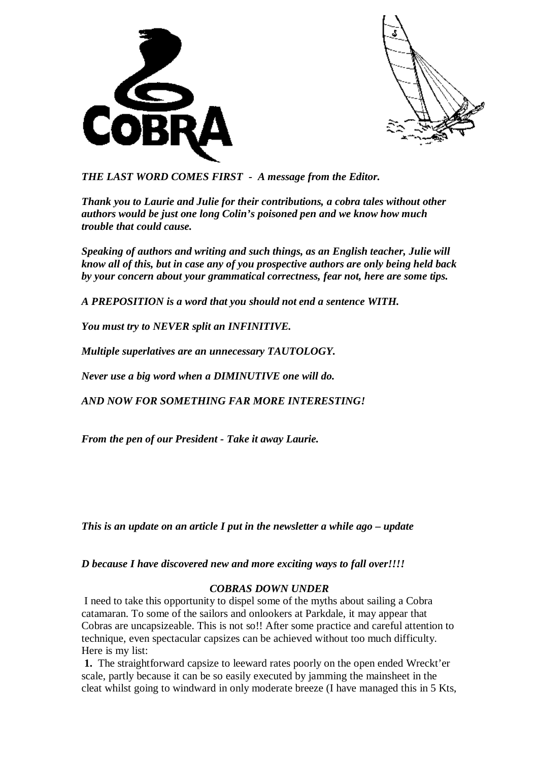



*THE LAST WORD COMES FIRST - A message from the Editor.* 

*Thank you to Laurie and Julie for their contributions, a cobra tales without other authors would be just one long Colin's poisoned pen and we know how much trouble that could cause.* 

*Speaking of authors and writing and such things, as an English teacher, Julie will know all of this, but in case any of you prospective authors are only being held back by your concern about your grammatical correctness, fear not, here are some tips.* 

*A PREPOSITION is a word that you should not end a sentence WITH.* 

*You must try to NEVER split an INFINITIVE.* 

*Multiple superlatives are an unnecessary TAUTOLOGY.* 

*Never use a big word when a DIMINUTIVE one will do.* 

*AND NOW FOR SOMETHING FAR MORE INTERESTING!* 

*From the pen of our President - Take it away Laurie.* 

*This is an update on an article I put in the newsletter a while ago – update* 

*D because I have discovered new and more exciting ways to fall over!!!!* 

## *COBRAS DOWN UNDER*

I need to take this opportunity to dispel some of the myths about sailing a Cobra catamaran. To some of the sailors and onlookers at Parkdale, it may appear that Cobras are uncapsizeable. This is not so!! After some practice and careful attention to technique, even spectacular capsizes can be achieved without too much difficulty. Here is my list:

**1.** The straightforward capsize to leeward rates poorly on the open ended Wreckt'er scale, partly because it can be so easily executed by jamming the mainsheet in the cleat whilst going to windward in only moderate breeze (I have managed this in 5 Kts,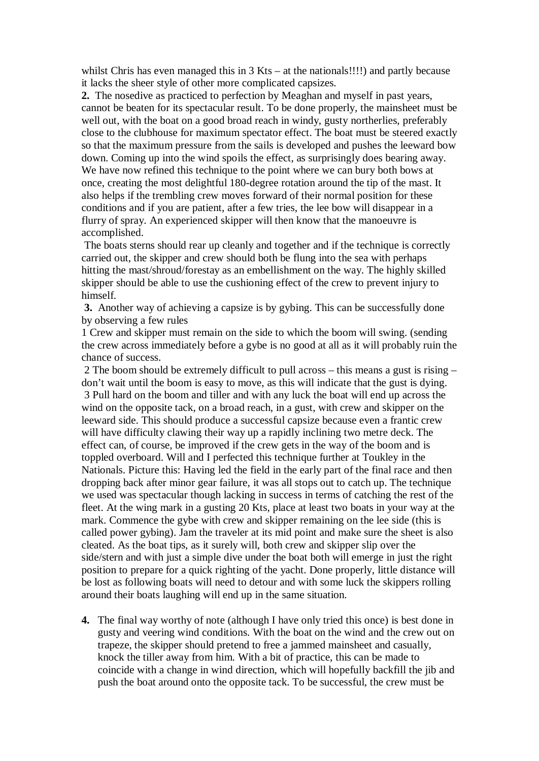whilst Chris has even managed this in 3 Kts – at the nationals!!!!) and partly because it lacks the sheer style of other more complicated capsizes.

**2.** The nosedive as practiced to perfection by Meaghan and myself in past years, cannot be beaten for its spectacular result. To be done properly, the mainsheet must be well out, with the boat on a good broad reach in windy, gusty northerlies, preferably close to the clubhouse for maximum spectator effect. The boat must be steered exactly so that the maximum pressure from the sails is developed and pushes the leeward bow down. Coming up into the wind spoils the effect, as surprisingly does bearing away. We have now refined this technique to the point where we can bury both bows at once, creating the most delightful 180-degree rotation around the tip of the mast. It also helps if the trembling crew moves forward of their normal position for these conditions and if you are patient, after a few tries, the lee bow will disappear in a flurry of spray. An experienced skipper will then know that the manoeuvre is accomplished.

 The boats sterns should rear up cleanly and together and if the technique is correctly carried out, the skipper and crew should both be flung into the sea with perhaps hitting the mast/shroud/forestay as an embellishment on the way. The highly skilled skipper should be able to use the cushioning effect of the crew to prevent injury to himself.

**3.** Another way of achieving a capsize is by gybing. This can be successfully done by observing a few rules

1 Crew and skipper must remain on the side to which the boom will swing. (sending the crew across immediately before a gybe is no good at all as it will probably ruin the chance of success.

2 The boom should be extremely difficult to pull across – this means a gust is rising – don't wait until the boom is easy to move, as this will indicate that the gust is dying. 3 Pull hard on the boom and tiller and with any luck the boat will end up across the wind on the opposite tack, on a broad reach, in a gust, with crew and skipper on the leeward side. This should produce a successful capsize because even a frantic crew will have difficulty clawing their way up a rapidly inclining two metre deck. The effect can, of course, be improved if the crew gets in the way of the boom and is toppled overboard. Will and I perfected this technique further at Toukley in the Nationals. Picture this: Having led the field in the early part of the final race and then dropping back after minor gear failure, it was all stops out to catch up. The technique we used was spectacular though lacking in success in terms of catching the rest of the fleet. At the wing mark in a gusting 20 Kts, place at least two boats in your way at the mark. Commence the gybe with crew and skipper remaining on the lee side (this is called power gybing). Jam the traveler at its mid point and make sure the sheet is also cleated. As the boat tips, as it surely will, both crew and skipper slip over the side/stern and with just a simple dive under the boat both will emerge in just the right position to prepare for a quick righting of the yacht. Done properly, little distance will be lost as following boats will need to detour and with some luck the skippers rolling around their boats laughing will end up in the same situation.

**4.** The final way worthy of note (although I have only tried this once) is best done in gusty and veering wind conditions. With the boat on the wind and the crew out on trapeze, the skipper should pretend to free a jammed mainsheet and casually, knock the tiller away from him. With a bit of practice, this can be made to coincide with a change in wind direction, which will hopefully backfill the jib and push the boat around onto the opposite tack. To be successful, the crew must be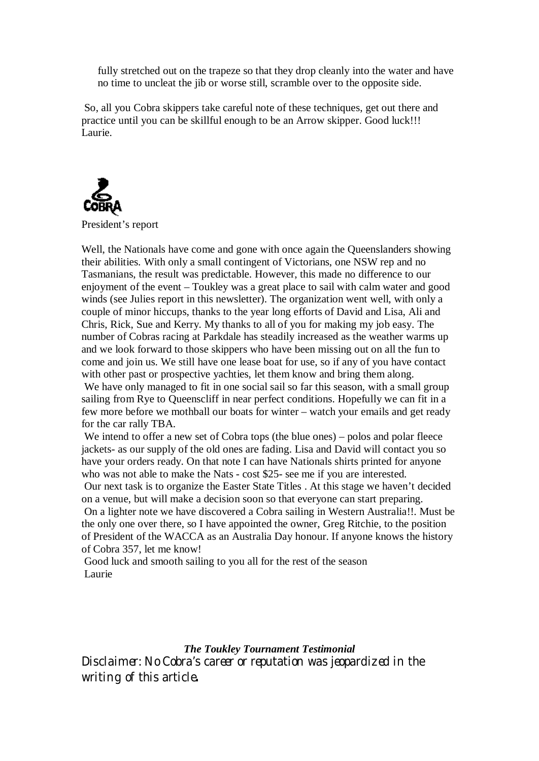fully stretched out on the trapeze so that they drop cleanly into the water and have no time to uncleat the jib or worse still, scramble over to the opposite side.

So, all you Cobra skippers take careful note of these techniques, get out there and practice until you can be skillful enough to be an Arrow skipper. Good luck!!! Laurie.



President's report

Well, the Nationals have come and gone with once again the Queenslanders showing their abilities. With only a small contingent of Victorians, one NSW rep and no Tasmanians, the result was predictable. However, this made no difference to our enjoyment of the event – Toukley was a great place to sail with calm water and good winds (see Julies report in this newsletter). The organization went well, with only a couple of minor hiccups, thanks to the year long efforts of David and Lisa, Ali and Chris, Rick, Sue and Kerry. My thanks to all of you for making my job easy. The number of Cobras racing at Parkdale has steadily increased as the weather warms up and we look forward to those skippers who have been missing out on all the fun to come and join us. We still have one lease boat for use, so if any of you have contact with other past or prospective yachties, let them know and bring them along. We have only managed to fit in one social sail so far this season, with a small group sailing from Rye to Queenscliff in near perfect conditions. Hopefully we can fit in a few more before we mothball our boats for winter – watch your emails and get ready for the car rally TBA.

We intend to offer a new set of Cobra tops (the blue ones) – polos and polar fleece jackets- as our supply of the old ones are fading. Lisa and David will contact you so have your orders ready. On that note I can have Nationals shirts printed for anyone who was not able to make the Nats - cost \$25- see me if you are interested. Our next task is to organize the Easter State Titles . At this stage we haven't decided on a venue, but will make a decision soon so that everyone can start preparing. On a lighter note we have discovered a Cobra sailing in Western Australia!!. Must be the only one over there, so I have appointed the owner, Greg Ritchie, to the position of President of the WACCA as an Australia Day honour. If anyone knows the history of Cobra 357, let me know!

Good luck and smooth sailing to you all for the rest of the season Laurie

*The Toukley Tournament Testimonial* 

*Disclaimer: No Cobra's career or reputation was jeopardized in the writing of this article***.**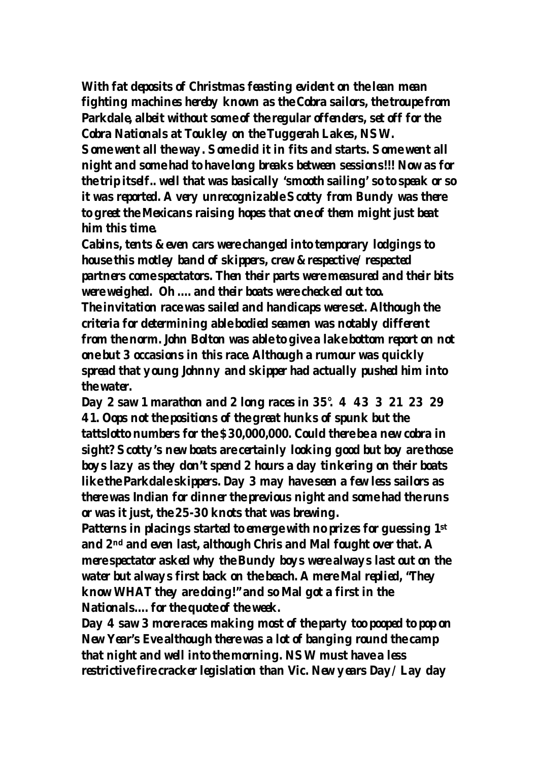**With fat deposits of Christmas feasting evident on the lean mean fighting machines hereby known as the Cobra sailors, the troupe from Parkdale, albeit without some of the regular offenders, set off for the Cobra Nationals at Toukley on the Tuggerah Lakes, NSW. Some went all the way. Some did it in fits and starts. Some went all night and some had to have long breaks between sessions!!! Now as for the trip itself.. well that was basically 'smooth sailing' so to speak or so it was reported. A very unrecognizable Scotty from Bundy was there to greet the Mexicans raising hopes that one of them might just beat him this time.** 

**Cabins, tents & even cars were changed into temporary lodgings to house this motley band of skippers, crew & respective/ respected partners come spectators. Then their parts were measured and their bits were weighed. Oh …. and their boats were checked out too.** 

**The invitation race was sailed and handicaps were set. Although the criteria for determining able bodied seamen was notably different from the norm. John Bolton was able to give a lake bottom report on not one but 3 occasions in this race. Although a rumour was quickly spread that young Johnny and skipper had actually pushed him into the water.** 

**Day 2 saw 1 marathon and 2 long races in 35°. 4 43 3 21 23 29 41. Oops not the positions of the great hunks of spunk but the tattslotto numbers for the \$30,000,000. Could there be a new cobra in sight? Scotty's new boats are certainly looking good but boy are those boys lazy as they don't spend 2 hours a day tinkering on their boats like the Parkdale skippers. Day 3 may have seen a few less sailors as there was Indian for dinner the previous night and some had the runs or was it just, the 25-30 knots that was brewing.** 

**Patterns in placings started to emerge with no prizes for guessing 1st and 2nd and even last, although Chris and Mal fought over that. A mere spectator asked why the Bundy boys were always last out on the water but always first back on the beach. A mere Mal replied, "They know WHAT they are doing!" and so Mal got a first in the Nationals…. for the quote of the week.** 

**Day 4 saw 3 more races making most of the party too pooped to pop on New Year's Eve although there was a lot of banging round the camp that night and well into the morning. NSW must have a less restrictive fire cracker legislation than Vic. New years Day/ Lay day**